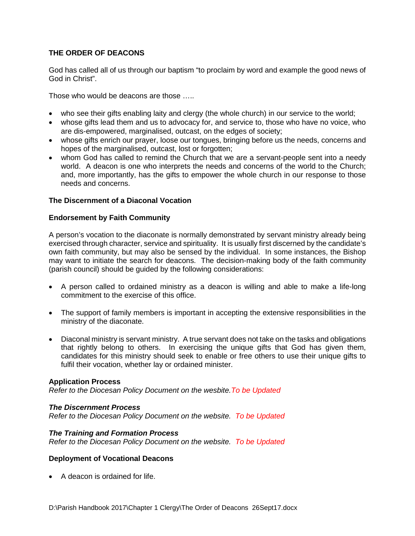# **THE ORDER OF DEACONS**

God has called all of us through our baptism "to proclaim by word and example the good news of God in Christ".

Those who would be deacons are those …..

- who see their gifts enabling laity and clergy (the whole church) in our service to the world;
- whose gifts lead them and us to advocacy for, and service to, those who have no voice, who are dis-empowered, marginalised, outcast, on the edges of society;
- whose gifts enrich our prayer, loose our tongues, bringing before us the needs, concerns and hopes of the marginalised, outcast, lost or forgotten;
- whom God has called to remind the Church that we are a servant-people sent into a needy world. A deacon is one who interprets the needs and concerns of the world to the Church; and, more importantly, has the gifts to empower the whole church in our response to those needs and concerns.

### **The Discernment of a Diaconal Vocation**

### **Endorsement by Faith Community**

A person's vocation to the diaconate is normally demonstrated by servant ministry already being exercised through character, service and spirituality. It is usually first discerned by the candidate's own faith community, but may also be sensed by the individual. In some instances, the Bishop may want to initiate the search for deacons. The decision-making body of the faith community (parish council) should be guided by the following considerations:

- A person called to ordained ministry as a deacon is willing and able to make a life-long commitment to the exercise of this office.
- The support of family members is important in accepting the extensive responsibilities in the ministry of the diaconate.
- Diaconal ministry is servant ministry. A true servant does not take on the tasks and obligations that rightly belong to others. In exercising the unique gifts that God has given them, candidates for this ministry should seek to enable or free others to use their unique gifts to fulfil their vocation, whether lay or ordained minister.

### **Application Process**

*Refer to the Diocesan Policy Document on the wesbite.To be Updated*

### *The Discernment Process*

*Refer to the Diocesan Policy Document on the website. To be Updated*

### *The Training and Formation Process*

*Refer to the Diocesan Policy Document on the website. To be Updated*

### **Deployment of Vocational Deacons**

• A deacon is ordained for life.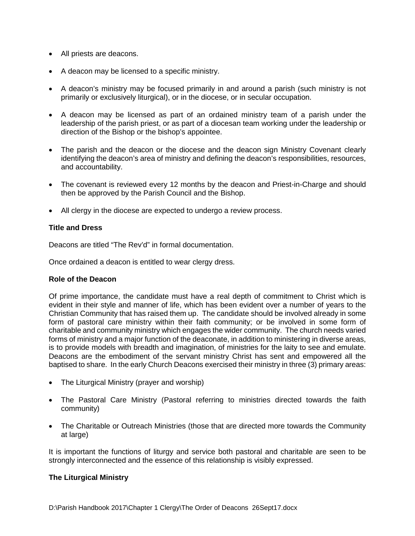- All priests are deacons.
- A deacon may be licensed to a specific ministry.
- A deacon's ministry may be focused primarily in and around a parish (such ministry is not primarily or exclusively liturgical), or in the diocese, or in secular occupation.
- A deacon may be licensed as part of an ordained ministry team of a parish under the leadership of the parish priest, or as part of a diocesan team working under the leadership or direction of the Bishop or the bishop's appointee.
- The parish and the deacon or the diocese and the deacon sign Ministry Covenant clearly identifying the deacon's area of ministry and defining the deacon's responsibilities, resources, and accountability.
- The covenant is reviewed every 12 months by the deacon and Priest-in-Charge and should then be approved by the Parish Council and the Bishop.
- All clergy in the diocese are expected to undergo a review process.

### **Title and Dress**

Deacons are titled "The Rev'd" in formal documentation.

Once ordained a deacon is entitled to wear clergy dress.

### **Role of the Deacon**

Of prime importance, the candidate must have a real depth of commitment to Christ which is evident in their style and manner of life, which has been evident over a number of years to the Christian Community that has raised them up. The candidate should be involved already in some form of pastoral care ministry within their faith community; or be involved in some form of charitable and community ministry which engages the wider community. The church needs varied forms of ministry and a major function of the deaconate, in addition to ministering in diverse areas, is to provide models with breadth and imagination, of ministries for the laity to see and emulate. Deacons are the embodiment of the servant ministry Christ has sent and empowered all the baptised to share. In the early Church Deacons exercised their ministry in three (3) primary areas:

- The Liturgical Ministry (prayer and worship)
- The Pastoral Care Ministry (Pastoral referring to ministries directed towards the faith community)
- The Charitable or Outreach Ministries (those that are directed more towards the Community at large)

It is important the functions of liturgy and service both pastoral and charitable are seen to be strongly interconnected and the essence of this relationship is visibly expressed.

### **The Liturgical Ministry**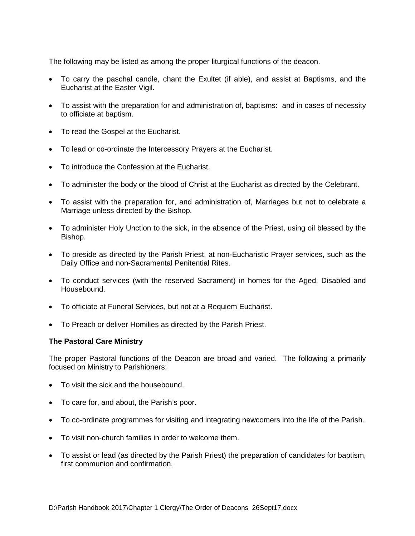The following may be listed as among the proper liturgical functions of the deacon.

- To carry the paschal candle, chant the Exultet (if able), and assist at Baptisms, and the Eucharist at the Easter Vigil.
- To assist with the preparation for and administration of, baptisms: and in cases of necessity to officiate at baptism.
- To read the Gospel at the Eucharist.
- To lead or co-ordinate the Intercessory Prayers at the Eucharist.
- To introduce the Confession at the Eucharist.
- To administer the body or the blood of Christ at the Eucharist as directed by the Celebrant.
- To assist with the preparation for, and administration of, Marriages but not to celebrate a Marriage unless directed by the Bishop.
- To administer Holy Unction to the sick, in the absence of the Priest, using oil blessed by the Bishop.
- To preside as directed by the Parish Priest, at non-Eucharistic Prayer services, such as the Daily Office and non-Sacramental Penitential Rites.
- To conduct services (with the reserved Sacrament) in homes for the Aged, Disabled and Housebound.
- To officiate at Funeral Services, but not at a Requiem Eucharist.
- To Preach or deliver Homilies as directed by the Parish Priest.

# **The Pastoral Care Ministry**

The proper Pastoral functions of the Deacon are broad and varied. The following a primarily focused on Ministry to Parishioners:

- To visit the sick and the housebound.
- To care for, and about, the Parish's poor.
- To co-ordinate programmes for visiting and integrating newcomers into the life of the Parish.
- To visit non-church families in order to welcome them.
- To assist or lead (as directed by the Parish Priest) the preparation of candidates for baptism, first communion and confirmation.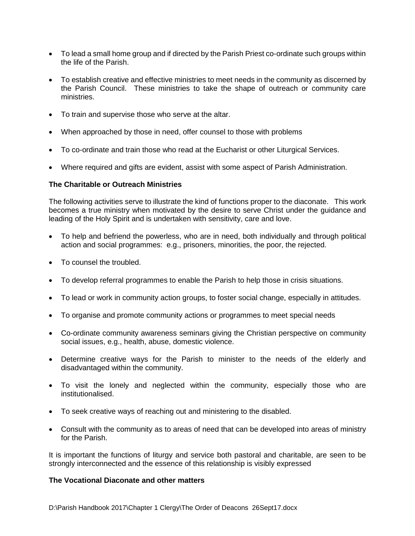- To lead a small home group and if directed by the Parish Priest co-ordinate such groups within the life of the Parish.
- To establish creative and effective ministries to meet needs in the community as discerned by the Parish Council. These ministries to take the shape of outreach or community care ministries.
- To train and supervise those who serve at the altar.
- When approached by those in need, offer counsel to those with problems
- To co-ordinate and train those who read at the Eucharist or other Liturgical Services.
- Where required and gifts are evident, assist with some aspect of Parish Administration.

### **The Charitable or Outreach Ministries**

The following activities serve to illustrate the kind of functions proper to the diaconate. This work becomes a true ministry when motivated by the desire to serve Christ under the guidance and leading of the Holy Spirit and is undertaken with sensitivity, care and love.

- To help and befriend the powerless, who are in need, both individually and through political action and social programmes: e.g., prisoners, minorities, the poor, the rejected.
- To counsel the troubled.
- To develop referral programmes to enable the Parish to help those in crisis situations.
- To lead or work in community action groups, to foster social change, especially in attitudes.
- To organise and promote community actions or programmes to meet special needs
- Co-ordinate community awareness seminars giving the Christian perspective on community social issues, e.g., health, abuse, domestic violence.
- Determine creative ways for the Parish to minister to the needs of the elderly and disadvantaged within the community.
- To visit the lonely and neglected within the community, especially those who are institutionalised.
- To seek creative ways of reaching out and ministering to the disabled.
- Consult with the community as to areas of need that can be developed into areas of ministry for the Parish.

It is important the functions of liturgy and service both pastoral and charitable, are seen to be strongly interconnected and the essence of this relationship is visibly expressed

# **The Vocational Diaconate and other matters**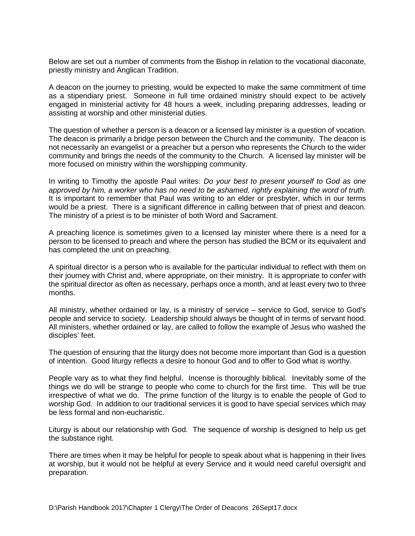Below are set out a number of comments from the Bishop in relation to the vocational diaconate, priestly ministry and Anglican Tradition.

A deacon on the journey to priesting, would be expected to make the same commitment of time as a stipendiary priest. Someone in full time ordained ministry should expect to be actively engaged in ministerial activity for 48 hours a week, including preparing addresses, leading or assisting at worship and other ministerial duties.

The question of whether a person is a deacon or a licensed lay minister is a question of vocation. The deacon is primarily a bridge person between the Church and the community. The deacon is not necessarily an evangelist or a preacher but a person who represents the Church to the wider community and brings the needs of the community to the Church. A licensed lay minister will be more focused on ministry within the worshipping community.

In writing to Timothy the apostle Paul writes: *Do your best to present yourself to God as one approved by him, a worker who has no need to be ashamed, rightly explaining the word of truth.*  It is important to remember that Paul was writing to an elder or presbyter, which in our terms would be a priest. There is a significant difference in calling between that of priest and deacon. The ministry of a priest is to be minister of both Word and Sacrament.

A preaching licence is sometimes given to a licensed lay minister where there is a need for a person to be licensed to preach and where the person has studied the BCM or its equivalent and has completed the unit on preaching.

A spiritual director is a person who is available for the particular individual to reflect with them on their journey with Christ and, where appropriate, on their ministry. It is appropriate to confer with the spiritual director as often as necessary, perhaps once a month, and at least every two to three months.

All ministry, whether ordained or lay, is a ministry of service – service to God, service to God's people and service to society. Leadership should always be thought of in terms of servant hood. All ministers, whether ordained or lay, are called to follow the example of Jesus who washed the disciples' feet.

The question of ensuring that the liturgy does not become more important than God is a question of intention. Good liturgy reflects a desire to honour God and to offer to God what is worthy.

People vary as to what they find helpful. Incense is thoroughly biblical. Inevitably some of the things we do will be strange to people who come to church for the first time. This will be true irrespective of what we do. The prime function of the liturgy is to enable the people of God to worship God. In addition to our traditional services it is good to have special services which may be less formal and non-eucharistic.

Liturgy is about our relationship with God. The sequence of worship is designed to help us get the substance right.

There are times when it may be helpful for people to speak about what is happening in their lives at worship, but it would not be helpful at every Service and it would need careful oversight and preparation.